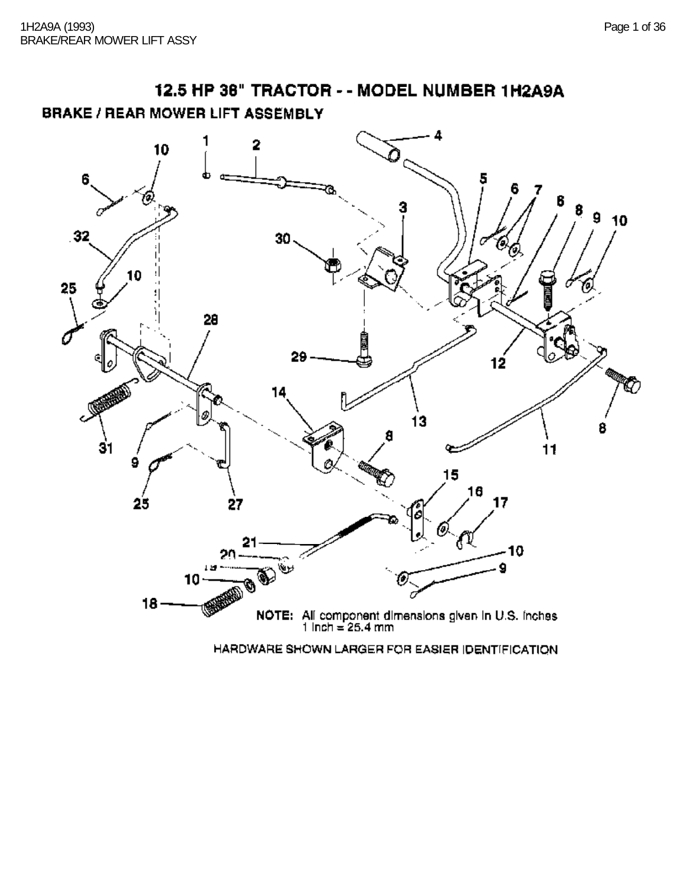12.5 HP 38" TRACTOR - - MODEL NUMBER 1H2A9A **BRAKE / REAR MOWER LIFT ASSEMBLY** 



HARDWARE SHOWN LARGER FOR EASIER IDENTIFICATION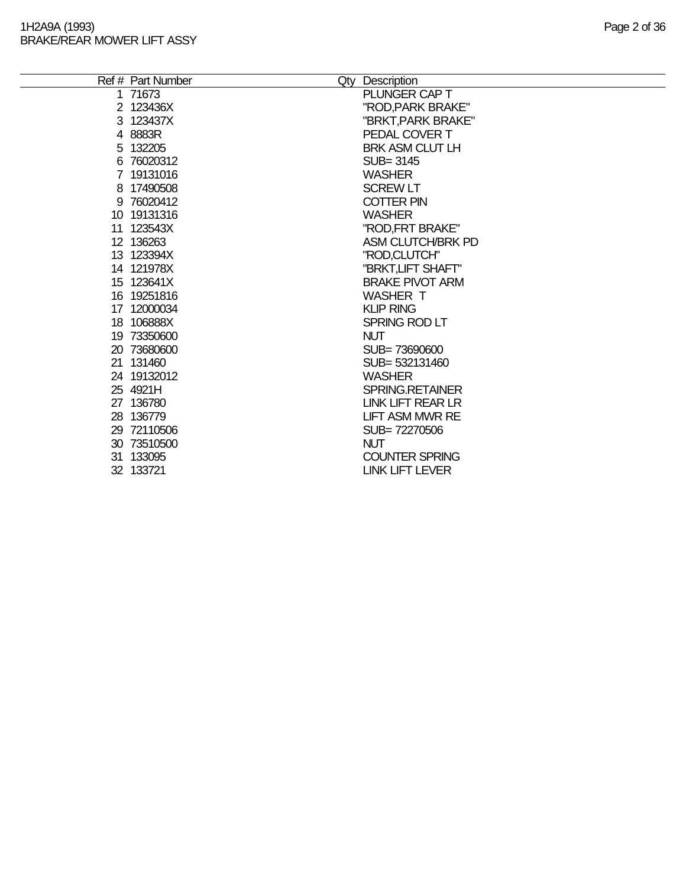| Ref # Part Number | Qty Description        |
|-------------------|------------------------|
| 1 71673           | PLUNGER CAP T          |
| 2 123436X         | "ROD,PARK BRAKE"       |
| 3 123437X         | "BRKT, PARK BRAKE"     |
| 4 8883R           | PEDAL COVER T          |
| 5 132205          | <b>BRK ASM CLUT LH</b> |
| 6 76020312        | SUB=3145               |
| 7 19131016        | <b>WASHER</b>          |
| 8 17490508        | <b>SCREW LT</b>        |
| 9 76020412        | <b>COTTER PIN</b>      |
| 10 19131316       | <b>WASHER</b>          |
| 11 123543X        | "ROD, FRT BRAKE"       |
| 12 136263         | ASM CLUTCH/BRK PD      |
| 13 123394X        | "ROD,CLUTCH"           |
| 14 121978X        | "BRKT, LIFT SHAFT"     |
| 15 123641X        | <b>BRAKE PIVOT ARM</b> |
| 16 19251816       | <b>WASHER T</b>        |
| 17 12000034       | <b>KLIP RING</b>       |
| 18 106888X        | SPRING ROD LT          |
| 19 73350600       | <b>NUT</b>             |
| 20 73680600       | SUB=73690600           |
| 21 131460         | SUB= 532131460         |
| 24 19132012       | <b>WASHER</b>          |
| 25 4921H          | <b>SPRING.RETAINER</b> |
| 27 136780         | LINK LIFT REAR LR      |
| 28 136779         | <b>LIFT ASM MWR RE</b> |
| 29 72110506       | SUB=72270506           |
| 30 73510500       | <b>NUT</b>             |
| 31 133095         | <b>COUNTER SPRING</b>  |
| 32 133721         | LINK LIFT LEVER        |
|                   |                        |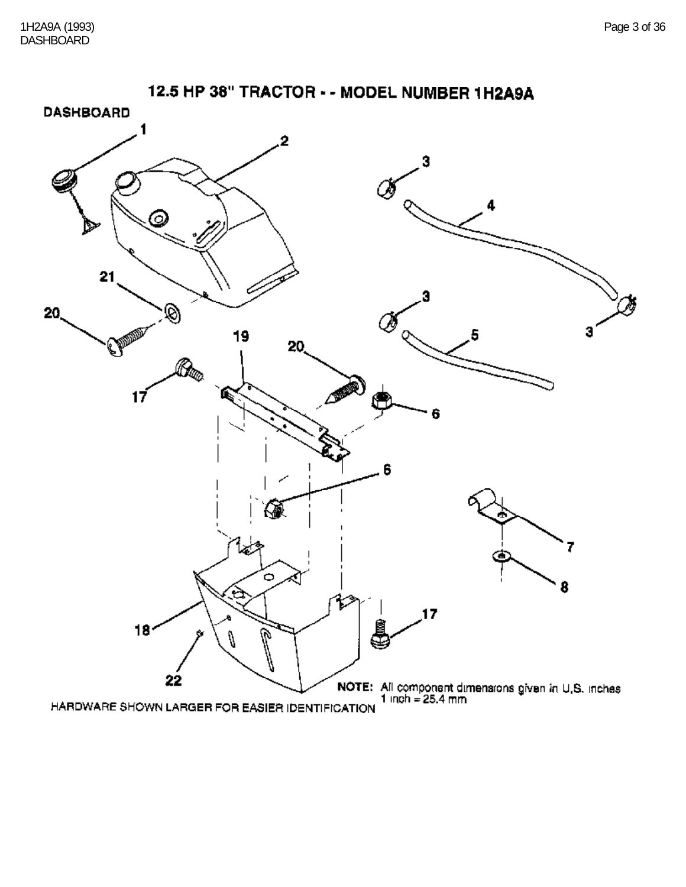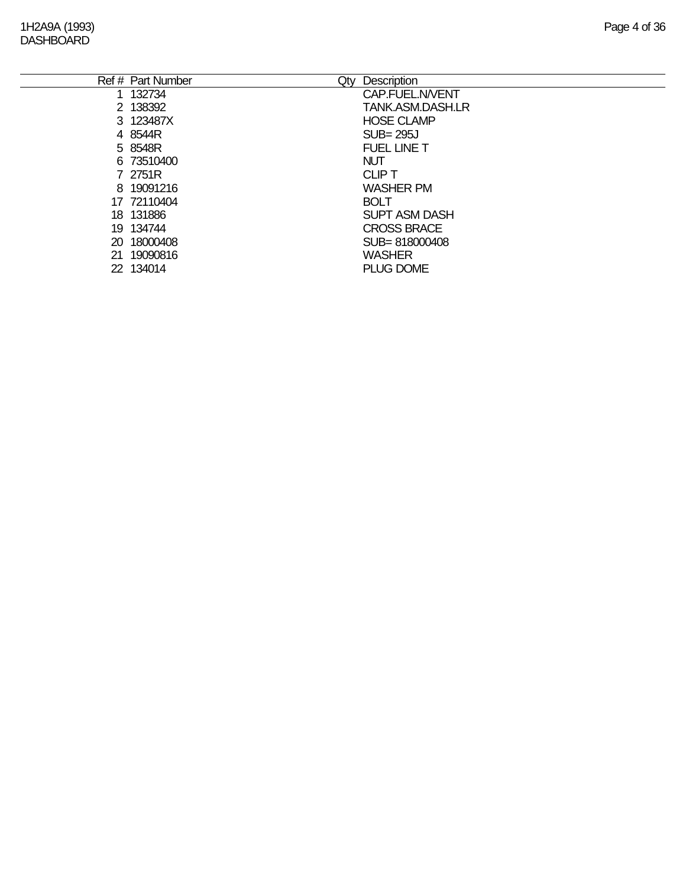#### 1H2A9A (1993) Page 4 of 36 **DASHBOARD**

|     | Ref # Part Number | Description<br>Qty   |
|-----|-------------------|----------------------|
| 1   | 132734            | CAP.FUEL.N/VENT      |
|     | 2 138392          | TANK, ASM, DASH, LR  |
|     | 3 123487X         | <b>HOSE CLAMP</b>    |
|     | 4 8544R           | $SUB = 295J$         |
|     | 5 8548R           | <b>FUEL LINE T</b>   |
|     | 6 73510400        | <b>NUT</b>           |
|     | 7 2751R           | <b>CLIP T</b>        |
|     | 8 19091216        | <b>WASHER PM</b>     |
|     | 17 72110404       | <b>BOLT</b>          |
|     | 18 131886         | <b>SUPT ASM DASH</b> |
|     | 19 134744         | <b>CROSS BRACE</b>   |
| 20. | 18000408          | SUB=818000408        |
| 21  | 19090816          | <b>WASHER</b>        |
|     | 22 134014         | <b>PLUG DOME</b>     |
|     |                   |                      |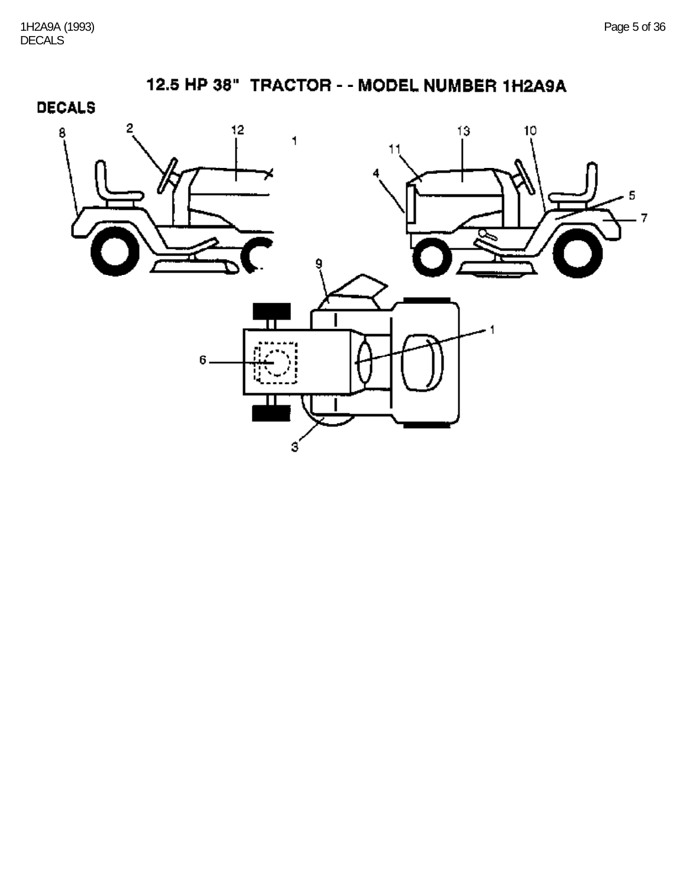**DECALS** 

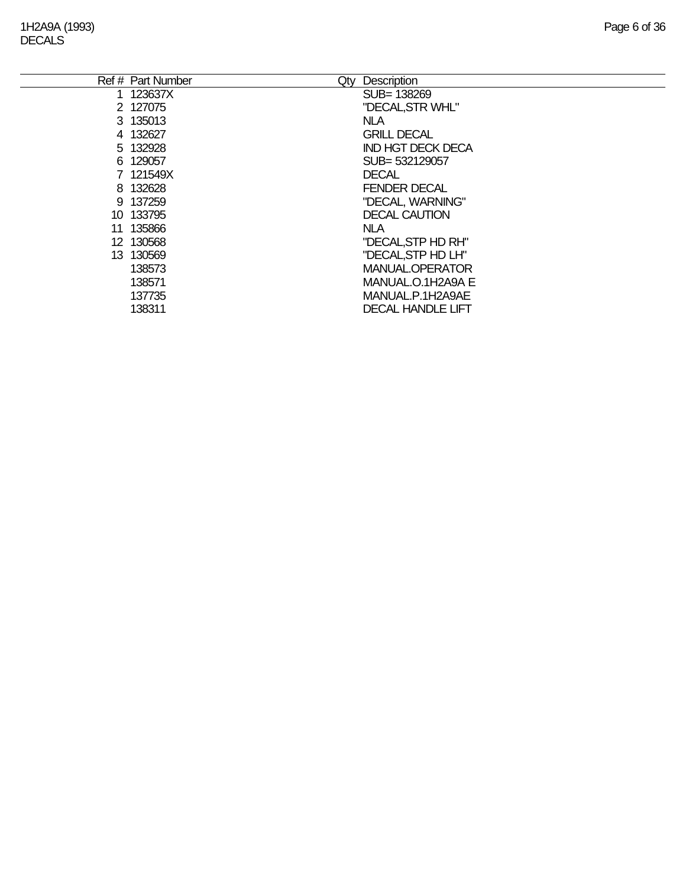| Ref # Part Number | Description<br>Qty       |
|-------------------|--------------------------|
| 1 123637X         | SUB=138269               |
| 2 127075          | "DECAL, STR WHL"         |
| 3 135013          | NLA.                     |
| 4 132627          | <b>GRILL DECAL</b>       |
| 5 132928          | <b>IND HGT DECK DECA</b> |
| 6 129057          | SUB= 532129057           |
| 7 121549X         | <b>DECAL</b>             |
| 8 132628          | <b>FENDER DECAL</b>      |
| 9 137259          | "DECAL, WARNING"         |
| 10 133795         | <b>DECAL CAUTION</b>     |
| 11 135866         | <b>NLA</b>               |
| 12 130568         | "DECAL, STP HD RH"       |
| 13 130569         | "DECAL, STP HD LH"       |
| 138573            | MANUAL.OPERATOR          |
| 138571            | MANUAL.O.1H2A9A E        |
| 137735            | MANUAL.P.1H2A9AE         |
| 138311            | <b>DECAL HANDLE LIFT</b> |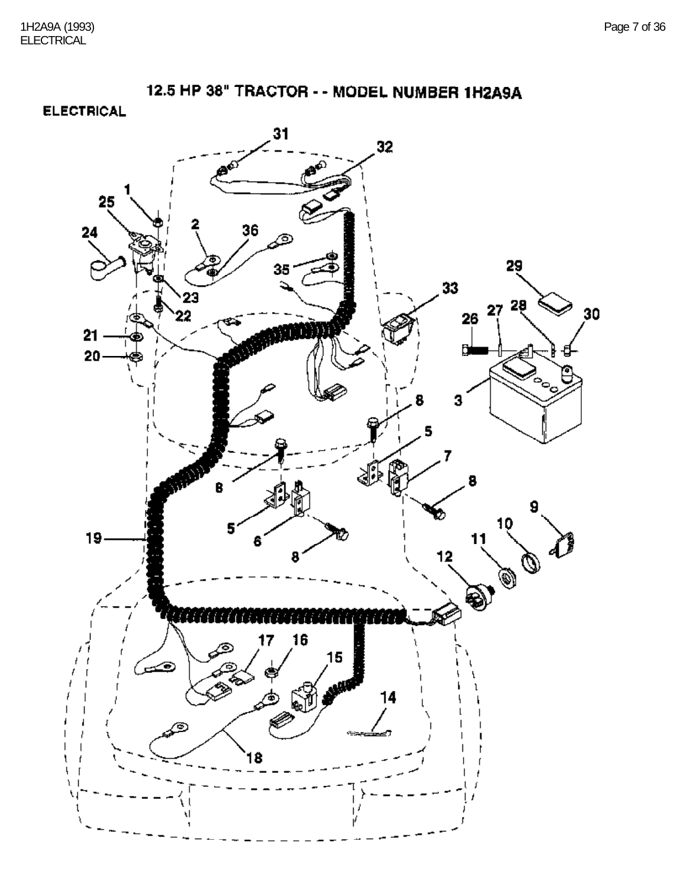**ELECTRICAL** 

![](_page_6_Figure_3.jpeg)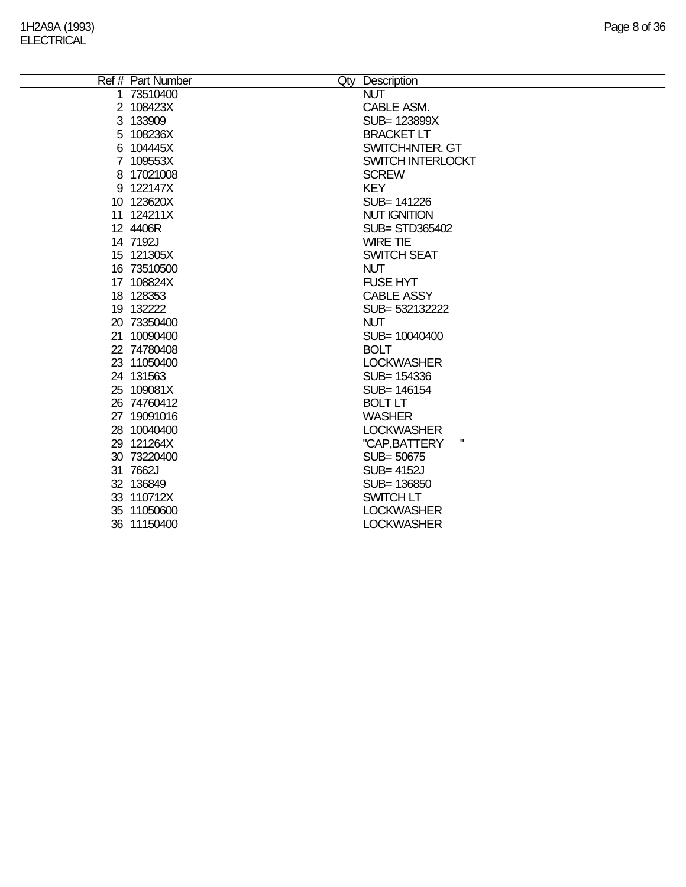| Ref # Part Number | Qty Description       |
|-------------------|-----------------------|
| 1 73510400        | <b>NUT</b>            |
| 2 108423X         | CABLE ASM.            |
| 3 133909          | SUB= 123899X          |
| 5 108236X         | <b>BRACKET LT</b>     |
| 6 104445X         | SWITCH-INTER. GT      |
| 7 109553X         | SWITCH INTERLOCKT     |
| 8 17021008        | <b>SCREW</b>          |
| 9 122147X         | <b>KEY</b>            |
| 10 123620X        | SUB= 141226           |
| 11 124211X        | <b>NUT IGNITION</b>   |
| 12 4406R          | <b>SUB= STD365402</b> |
| 14 7192J          | <b>WIRE TIE</b>       |
| 15 121305X        | <b>SWITCH SEAT</b>    |
| 16 73510500       | <b>NUT</b>            |
| 17 108824X        | <b>FUSE HYT</b>       |
| 18 128353         | <b>CABLE ASSY</b>     |
| 19 132222         | SUB= 532132222        |
| 20 73350400       | <b>NUT</b>            |
| 21 10090400       | SUB= 10040400         |
| 22 74780408       | <b>BOLT</b>           |
| 23 11050400       | <b>LOCKWASHER</b>     |
| 24 131563         | SUB= 154336           |
| 25 109081X        | SUB= 146154           |
| 26 74760412       | <b>BOLT LT</b>        |
| 27 19091016       | <b>WASHER</b>         |
| 28 10040400       | <b>LOCKWASHER</b>     |
| 29 121264X        | Ш<br>"CAP, BATTERY    |
| 30 73220400       | SUB= 50675            |
| 31 7662J          | <b>SUB=4152J</b>      |
| 32 136849         | SUB= 136850           |
| 33 110712X        | <b>SWITCH LT</b>      |
| 35 11050600       | <b>LOCKWASHER</b>     |
| 36 11150400       | <b>LOCKWASHER</b>     |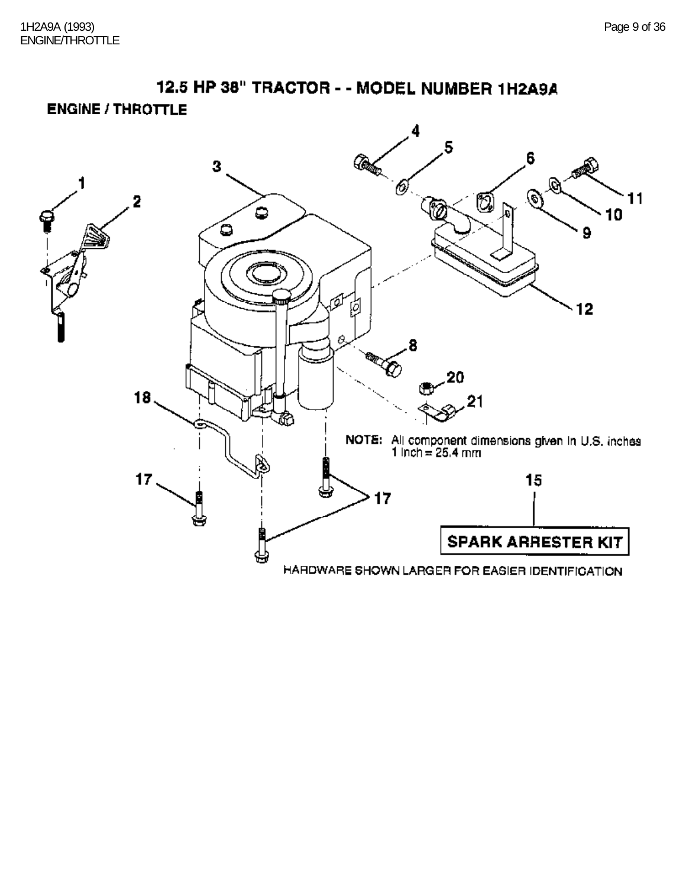12.5 HP 38" TRACTOR - - MODEL NUMBER 1H2A9A **ENGINE / THROTTLE** 

![](_page_8_Picture_2.jpeg)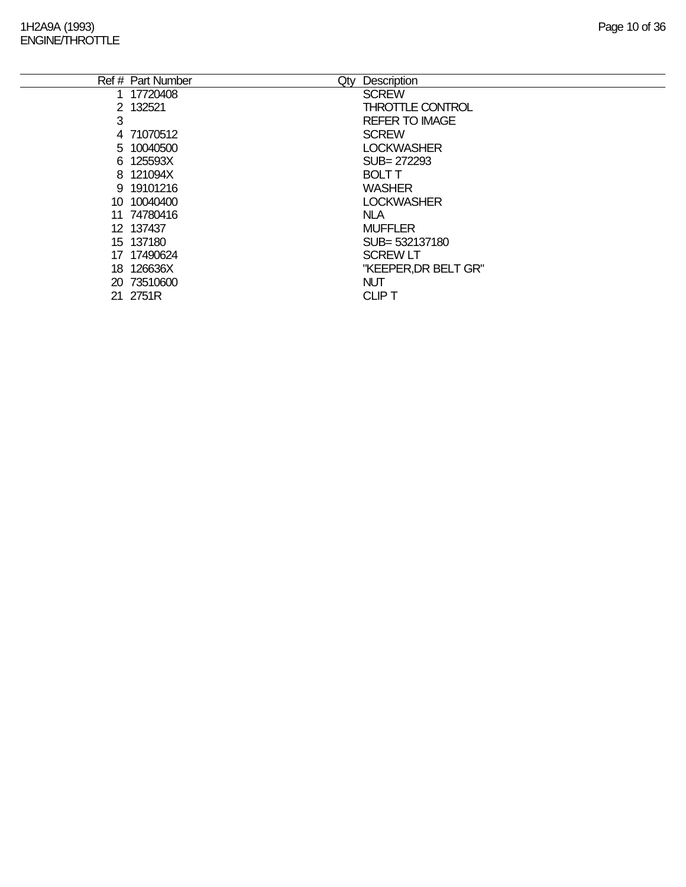## 1H2A9A (1993) Page 10 of 36 ENGINE/THROTTLE

|     | Ref # Part Number<br>Qty | Description             |
|-----|--------------------------|-------------------------|
|     | 1 17720408               | <b>SCREW</b>            |
|     | 2 132521                 | <b>THROTTLE CONTROL</b> |
| 3   |                          | <b>REFER TO IMAGE</b>   |
|     | 4 71070512               | <b>SCREW</b>            |
|     | 5 10040500               | <b>LOCKWASHER</b>       |
|     | 6 125593X                | SUB= 272293             |
|     | 8 121094X                | <b>BOLT T</b>           |
|     | 9 19101216               | <b>WASHER</b>           |
|     | 10 10040400              | <b>LOCKWASHER</b>       |
|     | 11 74780416              | <b>NLA</b>              |
|     | 12 137437                | <b>MUFFLER</b>          |
|     | 15 137180                | SUB= 532137180          |
|     | 17 17490624              | <b>SCREW LT</b>         |
| 18. | 126636X                  | "KEEPER, DR BELT GR"    |
|     | 20 73510600              | <b>NUT</b>              |
|     | 21 2751R                 | <b>CLIPT</b>            |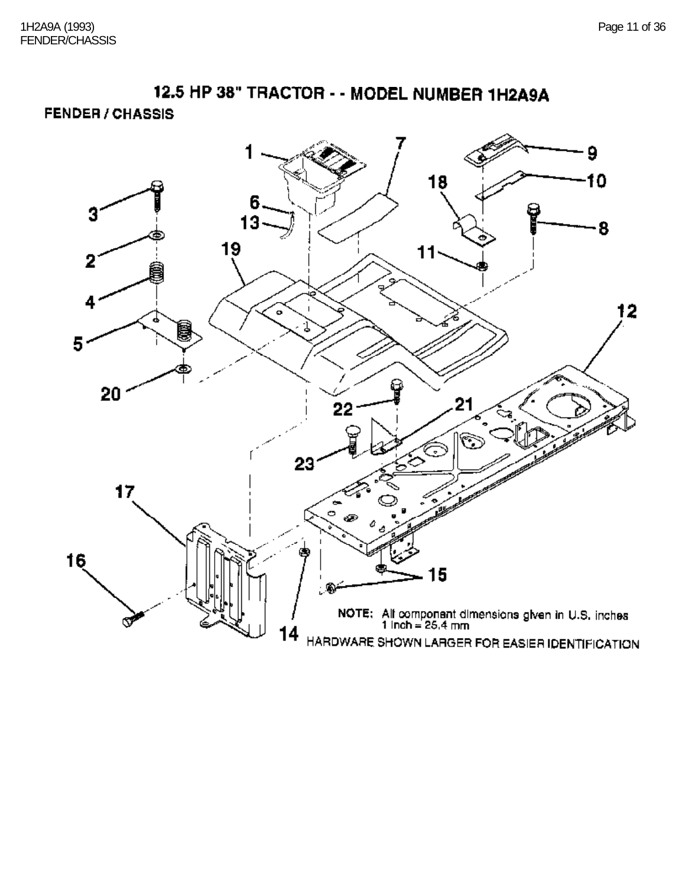**FENDER / CHASSIS** 

![](_page_10_Figure_3.jpeg)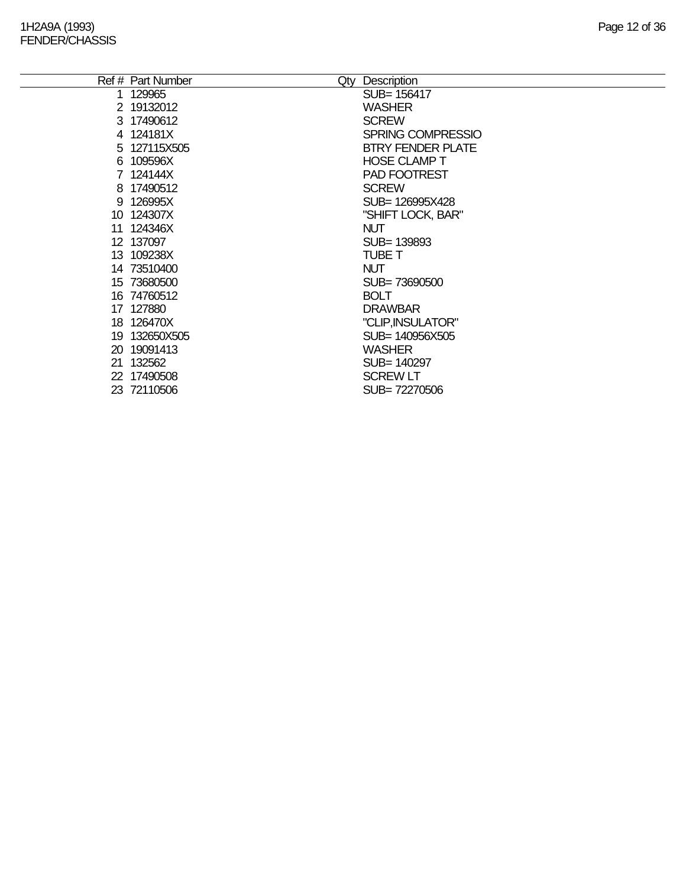| Ref # Part Number<br>Qty | Description              |
|--------------------------|--------------------------|
| 1 129965                 | SUB= 156417              |
| 2 19132012               | <b>WASHER</b>            |
| 3 17490612               | <b>SCREW</b>             |
| 4 124181X                | SPRING COMPRESSIO        |
| 5 127115X505             | <b>BTRY FENDER PLATE</b> |
| 6 109596X                | <b>HOSE CLAMP T</b>      |
| 7 124144X                | PAD FOOTREST             |
| 8 17490512               | <b>SCREW</b>             |
| 9 126995X                | SUB=126995X428           |
| 10 124307X               | "SHIFT LOCK, BAR"        |
| 11 124346X               | <b>NUT</b>               |
| 12 137097                | SUB= 139893              |
| 13 109238X               | <b>TUBE T</b>            |
| 14 73510400              | <b>NUT</b>               |
| 15 73680500              | SUB=73690500             |
| 16 74760512              | <b>BOLT</b>              |
| 17 127880                | <b>DRAWBAR</b>           |
| 18 126470X               | "CLIP, INSULATOR"        |
| 19 132650X505            | SUB= 140956X505          |
| 20 19091413              | <b>WASHER</b>            |
| 21 132562                | SUB= 140297              |
| 22 17490508              | <b>SCREW LT</b>          |
| 23 72110506              | SUB=72270506             |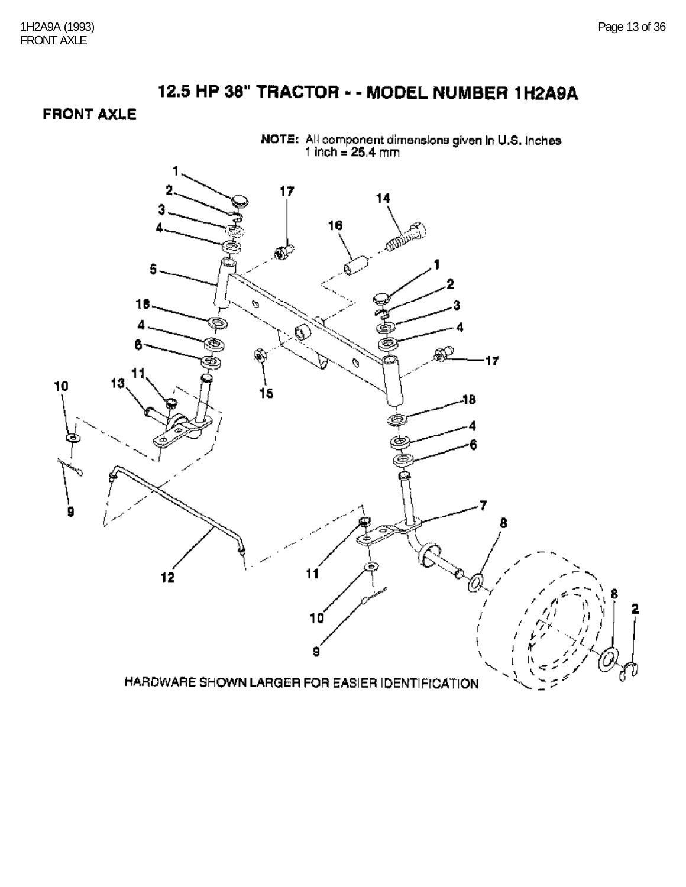**FRONT AXLE** 

![](_page_12_Figure_3.jpeg)

NOTE: All component dimensions given in U.S. Inches<br>1 inch = 25.4 mm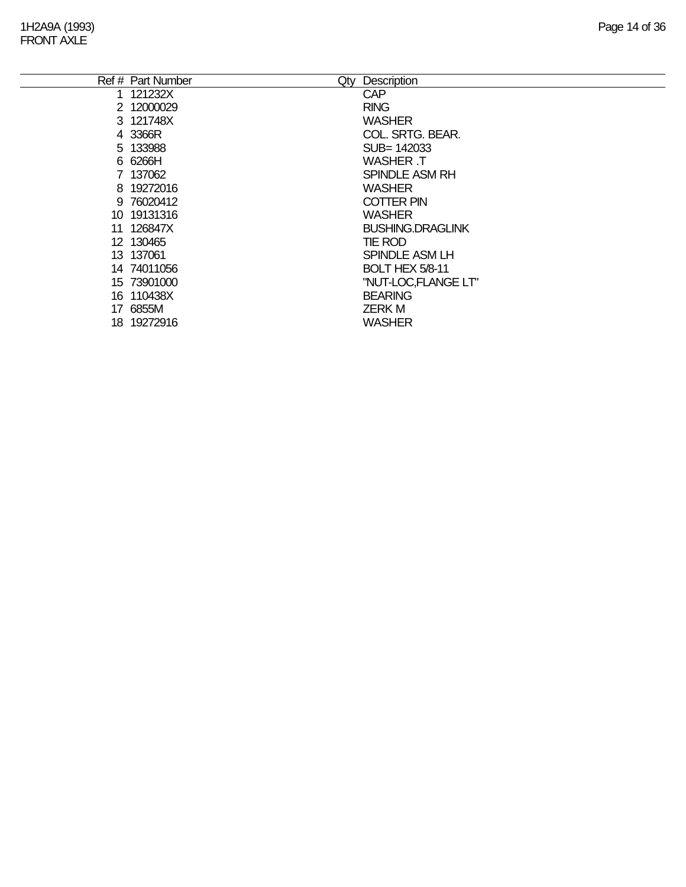|     | Ref # Part Number | Qty | Description             |
|-----|-------------------|-----|-------------------------|
|     | 121232X           |     | <b>CAP</b>              |
|     | 2 12000029        |     | <b>RING</b>             |
|     | 3 121748X         |     | <b>WASHER</b>           |
|     | 4 3366R           |     | COL. SRTG. BEAR.        |
|     | 5 133988          |     | SUB= 142033             |
|     | 6 6266H           |     | WASHER .T               |
|     | 7 137062          |     | <b>SPINDLE ASM RH</b>   |
|     | 8 19272016        |     | <b>WASHER</b>           |
|     | 9 76020412        |     | <b>COTTER PIN</b>       |
|     | 10 19131316       |     | <b>WASHER</b>           |
|     | 11 126847X        |     | <b>BUSHING.DRAGLINK</b> |
|     | 12 130465         |     | TIE ROD                 |
|     | 13 137061         |     | SPINDLE ASM LH          |
|     | 14 74011056       |     | <b>BOLT HEX 5/8-11</b>  |
|     | 15 73901000       |     | "NUT-LOC,FLANGE LT"     |
|     | 16 110438X        |     | <b>BEARING</b>          |
|     | 17 6855M          |     | <b>ZERK M</b>           |
| 18. | 19272916          |     | <b>WASHER</b>           |
|     |                   |     |                         |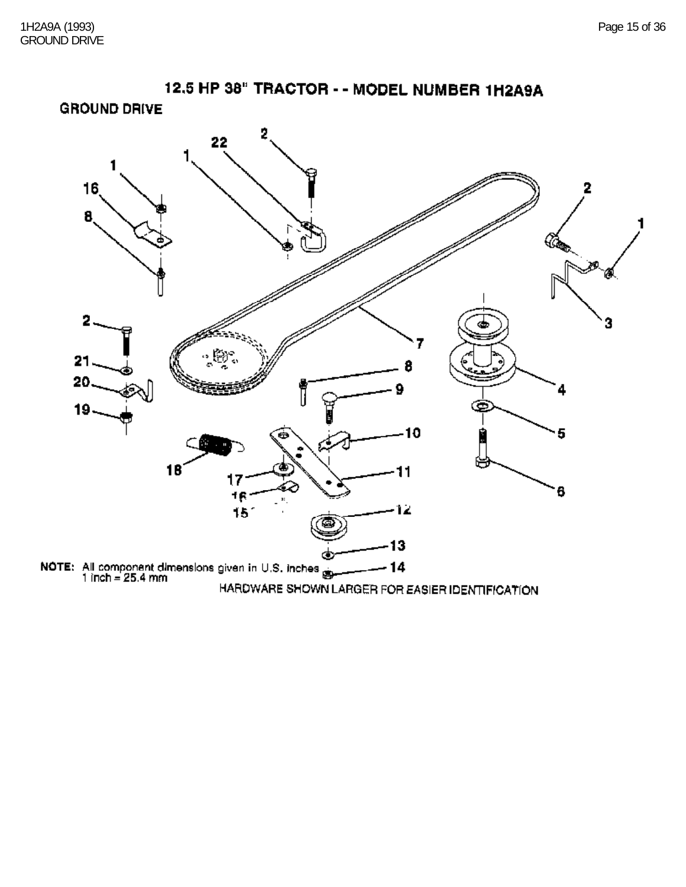![](_page_14_Figure_2.jpeg)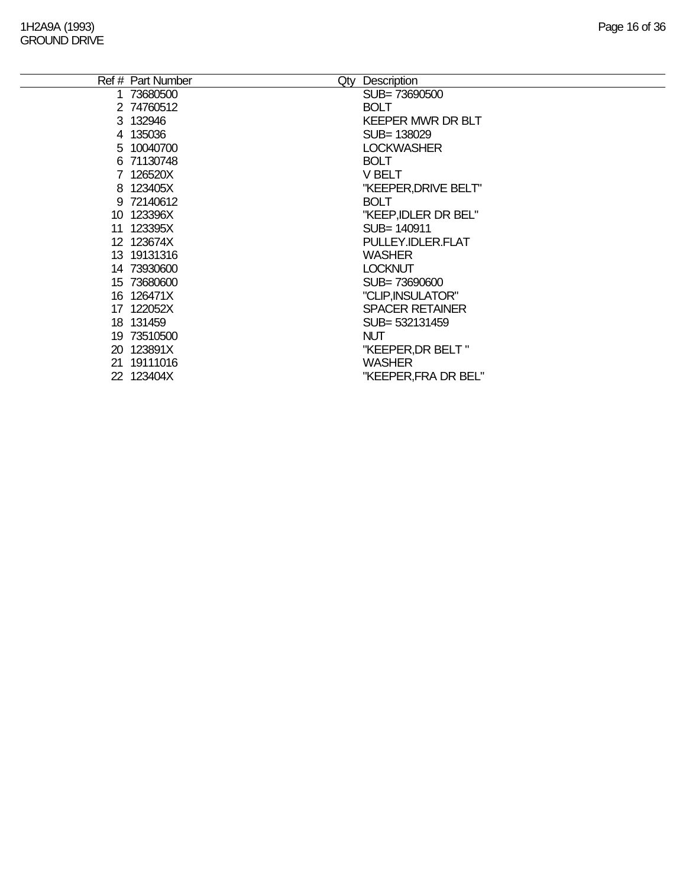|    | Ref # Part Number | Qty | Description              |
|----|-------------------|-----|--------------------------|
|    | 1 73680500        |     | SUB=73690500             |
|    | 2 74760512        |     | <b>BOLT</b>              |
|    |                   |     |                          |
|    | 3 132946          |     | <b>KEEPER MWR DR BLT</b> |
|    | 4 135036          |     | SUB= 138029              |
|    | 5 10040700        |     | <b>LOCKWASHER</b>        |
|    | 6 71130748        |     | <b>BOLT</b>              |
|    | 7 126520X         |     | V BELT                   |
|    | 8 123405X         |     | "KEEPER, DRIVE BELT"     |
|    | 9 72140612        |     | <b>BOLT</b>              |
|    | 10 123396X        |     | "KEEP, IDLER DR BEL"     |
| 11 | 123395X           |     | SUB= 140911              |
|    | 12 123674X        |     | PULLEY.IDLER.FLAT        |
|    | 13 19131316       |     | <b>WASHER</b>            |
|    | 14 73930600       |     | <b>LOCKNUT</b>           |
|    | 15 73680600       |     | SUB=73690600             |
|    | 16 126471X        |     | "CLIP, INSULATOR"        |
|    | 17 122052X        |     | <b>SPACER RETAINER</b>   |
|    | 18 131459         |     | SUB= 532131459           |
|    | 19 73510500       |     | <b>NUT</b>               |
|    | 20 123891X        |     | "KEEPER, DR BELT"        |
|    | 21 19111016       |     | <b>WASHER</b>            |
|    | 22 123404X        |     | "KEEPER, FRA DR BEL"     |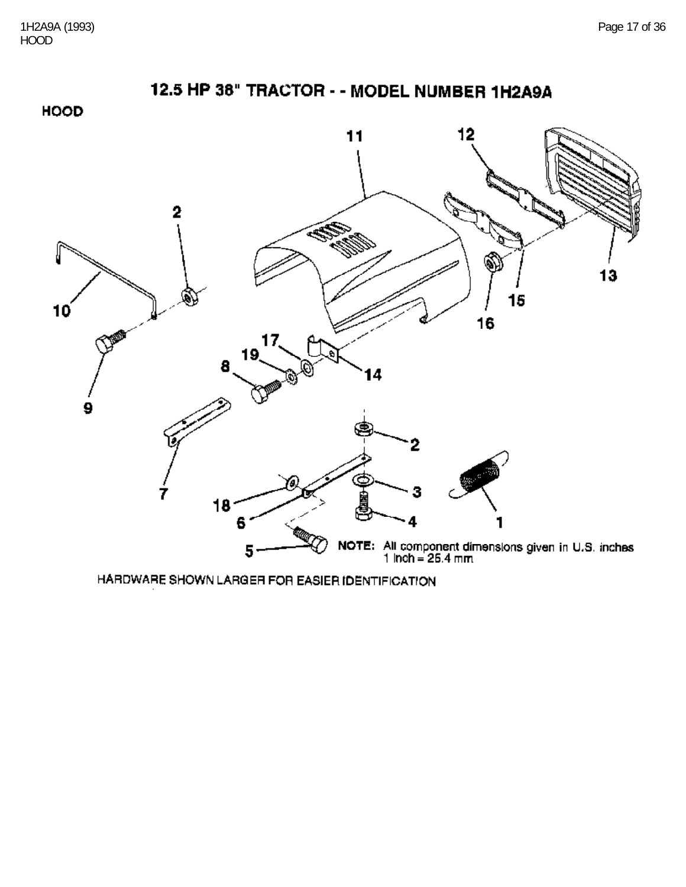12.5 HP 38" TRACTOR - - MODEL NUMBER 1H2A9A **HOOD**  $12$ 11  $\overline{2}$ ۰ 13 15  $10<sup>′</sup>$ 16 J 17, 19 8 4 9  $\overline{2}$ 7 18 6 NOTE: All component dimensions given in U.S. inches<br>1 Inch = 25.4 mm 5

HARDWARE SHOWN LARGER FOR EASIER IDENTIFICATION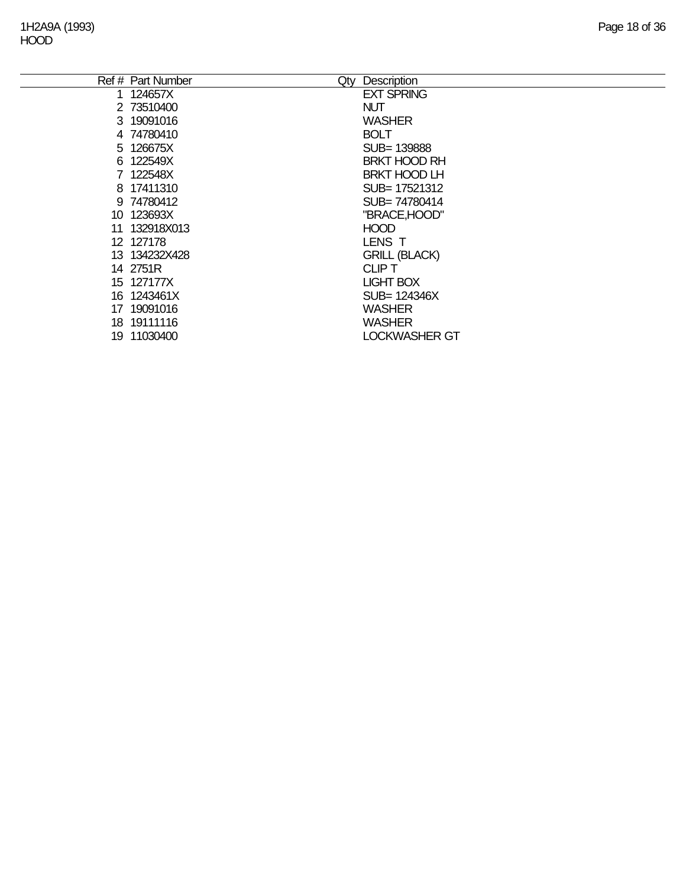e<br>H

|    | Ref # Part Number | Qty | Description          |
|----|-------------------|-----|----------------------|
|    | 124657X           |     | <b>EXT SPRING</b>    |
|    | 2 73510400        |     | <b>NUT</b>           |
|    | 3 19091016        |     | <b>WASHER</b>        |
|    | 4 74780410        |     | <b>BOLT</b>          |
|    | 5 126675X         |     | SUB= 139888          |
|    | 6 122549X         |     | <b>BRKT HOOD RH</b>  |
|    | 7 122548X         |     | <b>BRKT HOOD LH</b>  |
|    | 8 17411310        |     | SUB= 17521312        |
|    | 9 74780412        |     | SUB=74780414         |
|    | 10 123693X        |     | "BRACE, HOOD"        |
|    | 11 132918X013     |     | <b>HOOD</b>          |
|    | 12 127178         |     | LENS T               |
|    | 13 134232X428     |     | <b>GRILL (BLACK)</b> |
|    | 14 2751R          |     | <b>CLIPT</b>         |
|    | 15 127177X        |     | <b>LIGHT BOX</b>     |
|    | 16 1243461X       |     | SUB= 124346X         |
|    | 17 19091016       |     | <b>WASHER</b>        |
|    | 18 19111116       |     | <b>WASHER</b>        |
| 19 | 11030400          |     | <b>LOCKWASHER GT</b> |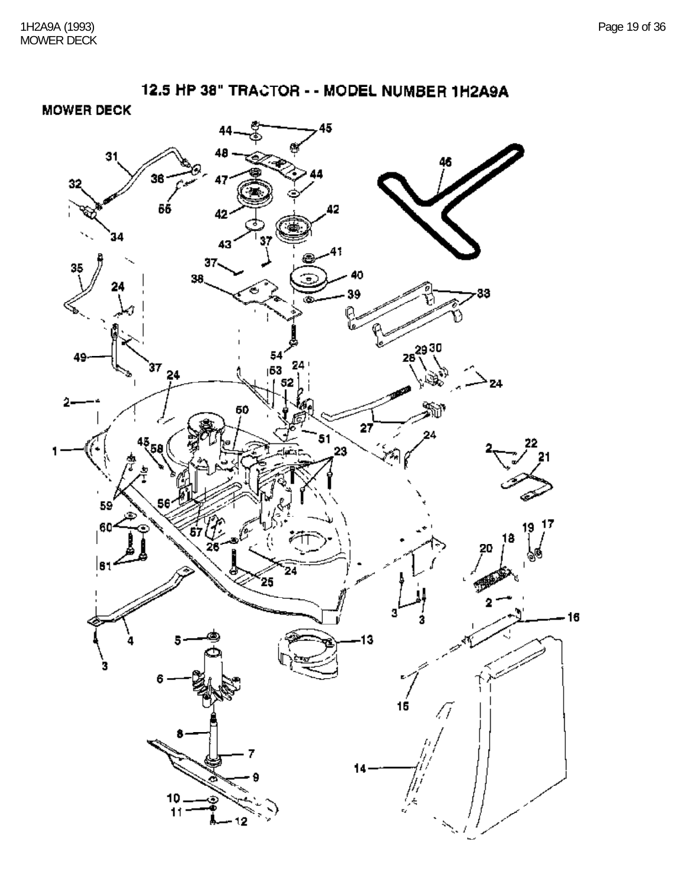![](_page_18_Figure_2.jpeg)

**MOWER DECK** 

![](_page_18_Figure_4.jpeg)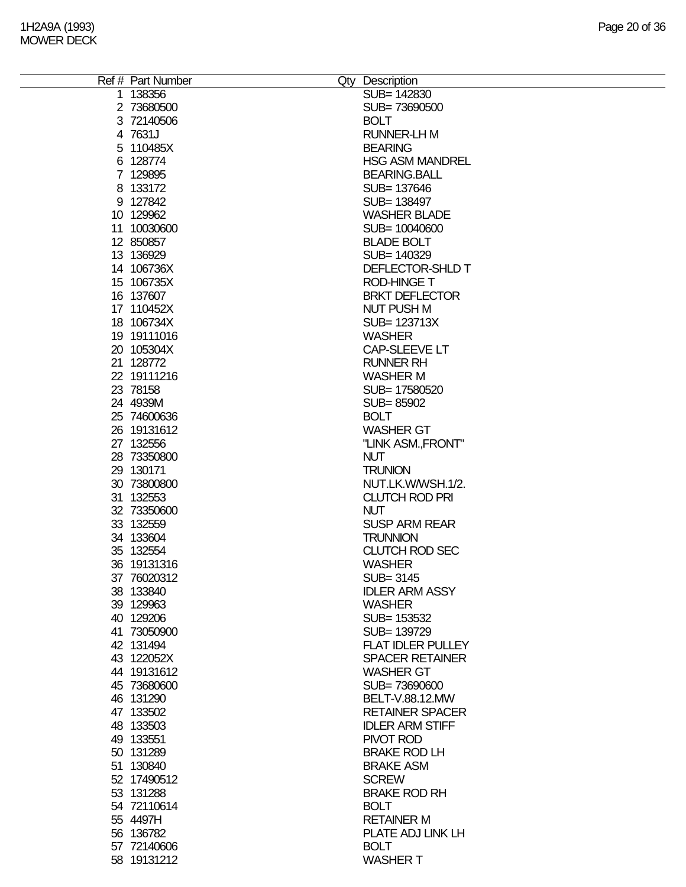| Ref # Part Number | Qty Description          |
|-------------------|--------------------------|
| 1 138356          | SUB= 142830              |
| 2 73680500        | SUB=73690500             |
|                   |                          |
| 3 72140506        | <b>BOLT</b>              |
| 4 7631J           | <b>RUNNER-LH M</b>       |
| 5 110485X         | <b>BEARING</b>           |
| 6 128774          | <b>HSG ASM MANDREL</b>   |
| 7 129895          | <b>BEARING.BALL</b>      |
| 8 133172          | SUB= 137646              |
|                   |                          |
| 9 127842          | SUB= 138497              |
| 10 129962         | <b>WASHER BLADE</b>      |
| 11 10030600       | SUB= 10040600            |
| 12 850857         | <b>BLADE BOLT</b>        |
| 13 136929         | SUB= 140329              |
| 14 106736X        | DEFLECTOR-SHLD T         |
|                   |                          |
| 15 106735X        | <b>ROD-HINGE T</b>       |
| 16 137607         | <b>BRKT DEFLECTOR</b>    |
| 17 110452X        | <b>NUT PUSH M</b>        |
| 18 106734X        | SUB= 123713X             |
| 19 19111016       | <b>WASHER</b>            |
|                   | <b>CAP-SLEEVE LT</b>     |
| 20 105304X        |                          |
| 21 128772         | <b>RUNNER RH</b>         |
| 22 19111216       | <b>WASHER M</b>          |
| 23 78158          | SUB= 17580520            |
| 24 4939M          | SUB=85902                |
| 25 74600636       | <b>BOLT</b>              |
|                   |                          |
| 26 19131612       | <b>WASHER GT</b>         |
| 27 132556         | "LINK ASM., FRONT"       |
| 28 73350800       | <b>NUT</b>               |
| 29 130171         | <b>TRUNION</b>           |
| 30 73800800       | NUT.LK.W/WSH.1/2.        |
| 31 132553         | <b>CLUTCH ROD PRI</b>    |
|                   |                          |
| 32 73350600       | <b>NUT</b>               |
| 33 132559         | <b>SUSP ARM REAR</b>     |
| 34 133604         | <b>TRUNNION</b>          |
| 35 132554         | <b>CLUTCH ROD SEC</b>    |
| 36 19131316       | <b>WASHER</b>            |
| 37 76020312       | SUB= 3145                |
| 38 133840         | <b>IDLER ARM ASSY</b>    |
|                   |                          |
| 39 129963         | <b>WASHER</b>            |
| 40 129206         | SUB= 153532              |
| 41 73050900       | SUB= 139729              |
| 42 131494         | <b>FLAT IDLER PULLEY</b> |
| 43 122052X        | <b>SPACER RETAINER</b>   |
| 44 19131612       | <b>WASHER GT</b>         |
|                   |                          |
| 45 73680600       | SUB=73690600             |
| 46 131290         | BELT-V.88.12.MW          |
| 47 133502         | <b>RETAINER SPACER</b>   |
| 48 133503         | <b>IDLER ARM STIFF</b>   |
| 49 133551         | PIVOT ROD                |
| 50 131289         | <b>BRAKE ROD LH</b>      |
|                   |                          |
| 51 130840         | <b>BRAKE ASM</b>         |
| 52 17490512       | <b>SCREW</b>             |
| 53 131288         | <b>BRAKE ROD RH</b>      |
| 54 72110614       | <b>BOLT</b>              |
| 55 4497H          | <b>RETAINER M</b>        |
| 56 136782         | PLATE ADJ LINK LH        |
|                   |                          |
| 57 72140606       | <b>BOLT</b>              |
| 58 19131212       | <b>WASHER T</b>          |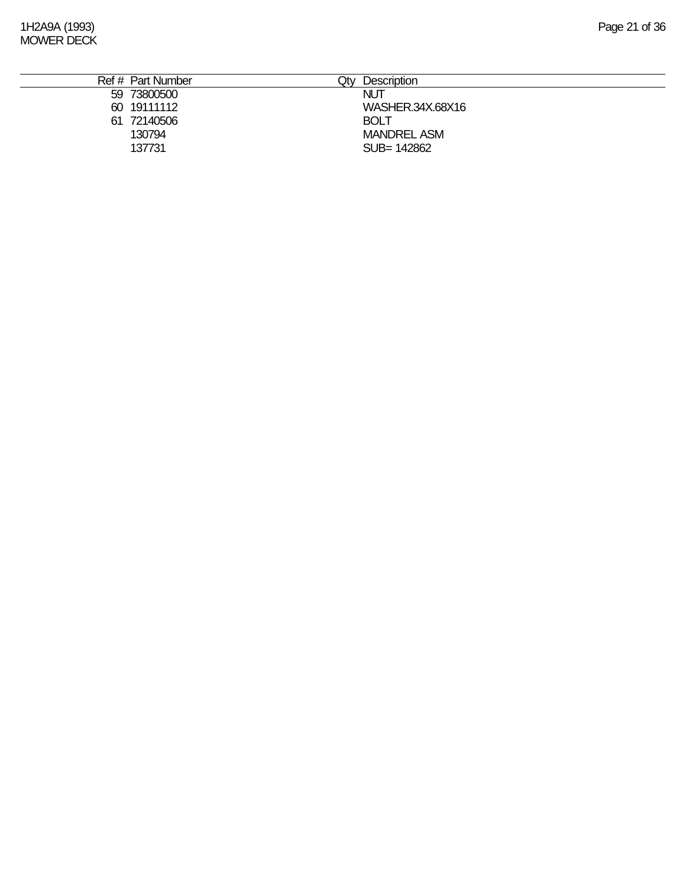| Ref # Part Number | <b>Description</b><br><b>Jty</b> |
|-------------------|----------------------------------|
| 59 73800500       | <b>NUT</b>                       |
| 60 19111112       | WASHER.34X.68X16                 |
| 72140506<br>61    | <b>BOLT</b>                      |
| 130794            | <b>MANDREL ASM</b>               |
| 137731            | SUB= 142862                      |
|                   |                                  |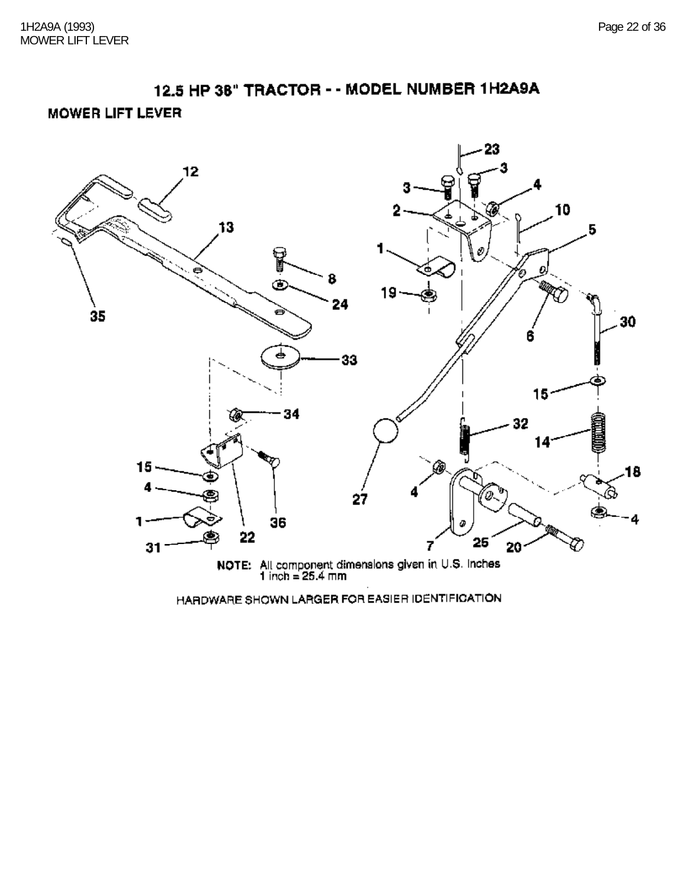**MOWER LIFT LEVER** 

![](_page_21_Figure_3.jpeg)

HARDWARE SHOWN LARGER FOR EASIER IDENTIFICATION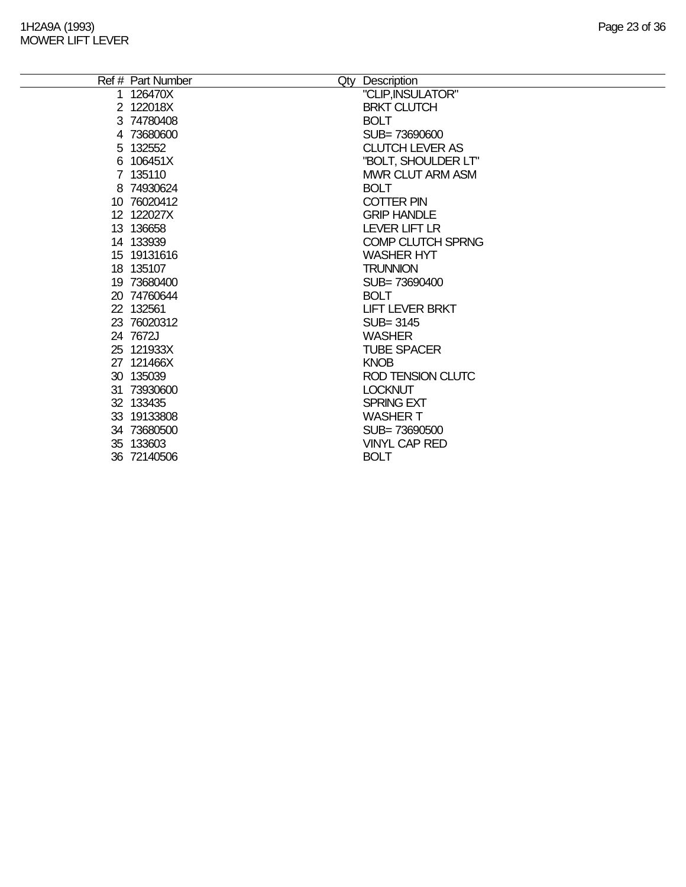| Ref # Part Number | Qty Description          |
|-------------------|--------------------------|
| 1 126470X         | "CLIP, INSULATOR"        |
| 2 122018X         | <b>BRKT CLUTCH</b>       |
| 3 74780408        | <b>BOLT</b>              |
| 4 73680600        | SUB=73690600             |
| 5 132552          | <b>CLUTCH LEVER AS</b>   |
| 6 106451X         | "BOLT, SHOULDER LT"      |
| 7 135110          | <b>MWR CLUT ARM ASM</b>  |
| 8 74930624        | <b>BOLT</b>              |
| 10 76020412       | <b>COTTER PIN</b>        |
| 12 122027X        | <b>GRIP HANDLE</b>       |
| 13 136658         | LEVER LIFT LR            |
| 14 133939         | <b>COMP CLUTCH SPRNG</b> |
| 15 19131616       | <b>WASHER HYT</b>        |
| 18 135107         | <b>TRUNNION</b>          |
| 19 73680400       | SUB=73690400             |
| 20 74760644       | <b>BOLT</b>              |
| 22 132561         | <b>LIFT LEVER BRKT</b>   |
| 23 76020312       | $SUB = 3145$             |
| 24 7672J          | <b>WASHER</b>            |
| 25 121933X        | <b>TUBE SPACER</b>       |
| 27 121466X        | <b>KNOB</b>              |
| 30 135039         | <b>ROD TENSION CLUTC</b> |
| 31 73930600       | <b>LOCKNUT</b>           |
| 32 133435         | <b>SPRING EXT</b>        |
| 33 19133808       | <b>WASHER T</b>          |
| 34 73680500       | SUB=73690500             |
| 35 133603         | <b>VINYL CAP RED</b>     |
| 36 72140506       | <b>BOLT</b>              |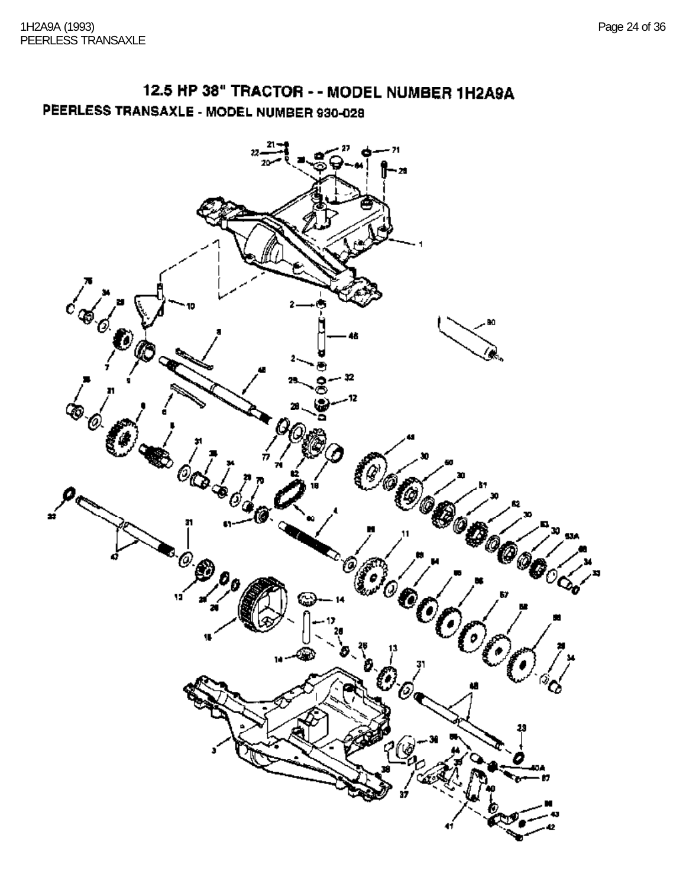12.5 HP 38" TRACTOR - - MODEL NUMBER 1H2A9A PEERLESS TRANSAXLE - MODEL NUMBER 930-028

![](_page_23_Figure_2.jpeg)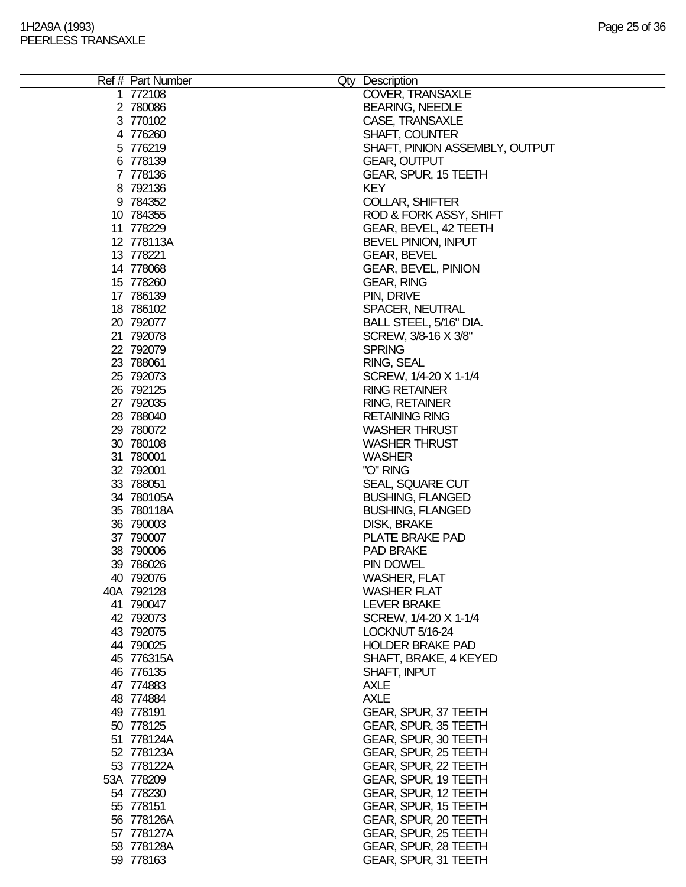| Ref # Part Number | Qty Description                |
|-------------------|--------------------------------|
| 1 772108          | COVER, TRANSAXLE               |
| 2 780086          | <b>BEARING, NEEDLE</b>         |
|                   |                                |
| 3 770102          | CASE, TRANSAXLE                |
| 4 776260          | <b>SHAFT, COUNTER</b>          |
| 5 776219          | SHAFT, PINION ASSEMBLY, OUTPUT |
| 6 778139          | <b>GEAR, OUTPUT</b>            |
|                   |                                |
| 7 778136          | GEAR, SPUR, 15 TEETH           |
| 8 792136          | <b>KEY</b>                     |
| 9 784352          | <b>COLLAR, SHIFTER</b>         |
| 10 784355         | ROD & FORK ASSY, SHIFT         |
| 11 778229         | GEAR, BEVEL, 42 TEETH          |
| 12 778113A        | <b>BEVEL PINION, INPUT</b>     |
|                   |                                |
| 13 778221         | <b>GEAR, BEVEL</b>             |
| 14 778068         | <b>GEAR, BEVEL, PINION</b>     |
| 15 778260         | <b>GEAR, RING</b>              |
| 17 786139         | PIN, DRIVE                     |
| 18 78 610 2       | <b>SPACER, NEUTRAL</b>         |
|                   |                                |
| 20 792077         | BALL STEEL, 5/16" DIA.         |
| 21 792078         | SCREW, 3/8-16 X 3/8"           |
| 22 792079         | <b>SPRING</b>                  |
| 23 788061         | RING, SEAL                     |
| 25 792073         | SCREW, 1/4-20 X 1-1/4          |
| 26 792125         | <b>RING RETAINER</b>           |
|                   |                                |
| 27 792035         | <b>RING, RETAINER</b>          |
| 28 788040         | <b>RETAINING RING</b>          |
| 29 780072         | <b>WASHER THRUST</b>           |
| 30 780108         | <b>WASHER THRUST</b>           |
| 31 780001         | <b>WASHER</b>                  |
|                   |                                |
| 32 792001         | "O" RING                       |
| 33 788051         | <b>SEAL, SQUARE CUT</b>        |
| 34 780105A        | <b>BUSHING, FLANGED</b>        |
| 35 780118A        | <b>BUSHING, FLANGED</b>        |
| 36 790003         | <b>DISK, BRAKE</b>             |
|                   | PLATE BRAKE PAD                |
| 37 790007         |                                |
| 38 790006         | <b>PAD BRAKE</b>               |
| 39 786026         | PIN DOWEL                      |
| 40 792076         | <b>WASHER, FLAT</b>            |
| 40A 792128        | <b>WASHER FLAT</b>             |
| 41 790047         | <b>LEVER BRAKE</b>             |
|                   |                                |
| 42 792073         | SCREW, 1/4-20 X 1-1/4          |
| 43 792075         | LOCKNUT 5/16-24                |
| 44 790025         | <b>HOLDER BRAKE PAD</b>        |
| 45 776315A        | SHAFT, BRAKE, 4 KEYED          |
| 46 776135         | SHAFT, INPUT                   |
| 47 774883         | <b>AXLE</b>                    |
|                   |                                |
| 48 774884         | <b>AXLE</b>                    |
| 49 778191         | GEAR, SPUR, 37 TEETH           |
| 50 778125         | GEAR, SPUR, 35 TEETH           |
| 51 778124A        | GEAR, SPUR, 30 TEETH           |
| 52 778123A        | GEAR, SPUR, 25 TEETH           |
| 53 778122A        | GEAR, SPUR, 22 TEETH           |
|                   |                                |
| 53A 778209        | GEAR, SPUR, 19 TEETH           |
| 54 778230         | GEAR, SPUR, 12 TEETH           |
| 55 778151         | GEAR, SPUR, 15 TEETH           |
| 56 778126A        | GEAR, SPUR, 20 TEETH           |
| 57 778127A        | GEAR, SPUR, 25 TEETH           |
|                   |                                |
| 58 778128A        | GEAR, SPUR, 28 TEETH           |
| 59 778163         | GEAR, SPUR, 31 TEETH           |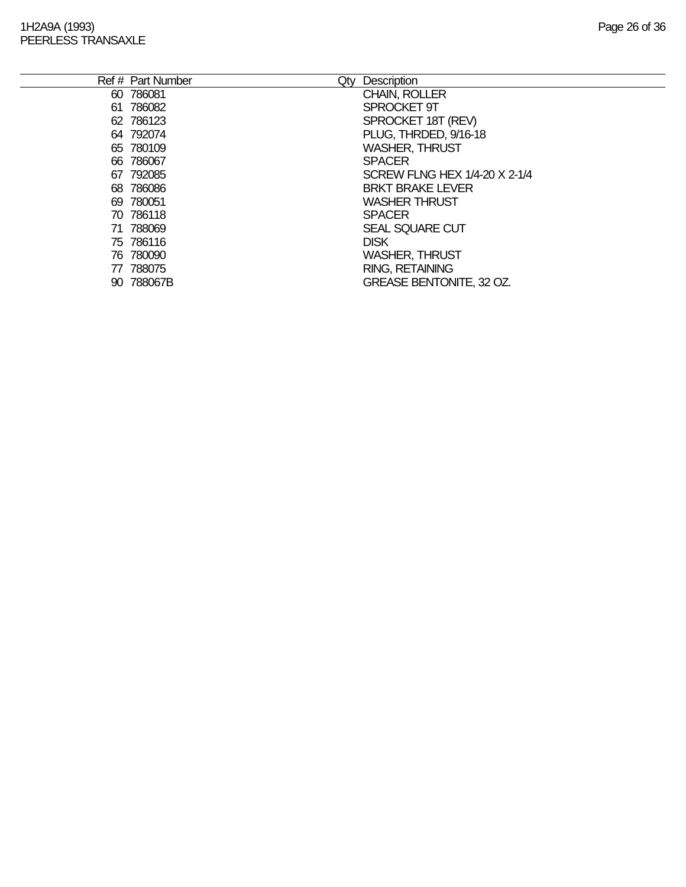| Ref # Part Number<br>Qty | Description                     |
|--------------------------|---------------------------------|
| 60 786081                | <b>CHAIN, ROLLER</b>            |
| 61 786082                | SPROCKET 9T                     |
| 62 786123                | SPROCKET 18T (REV)              |
| 64 792074                | PLUG, THRDED, 9/16-18           |
| 65 780109                | <b>WASHER, THRUST</b>           |
| 66 786067                | <b>SPACER</b>                   |
| 67 792085                | SCREW FLNG HEX 1/4-20 X 2-1/4   |
| 68 786086                | <b>BRKT BRAKE LEVER</b>         |
| 69 780051                | <b>WASHER THRUST</b>            |
| 70 786118                | <b>SPACER</b>                   |
| 71 788069                | <b>SEAL SQUARE CUT</b>          |
| 75 786116                | <b>DISK</b>                     |
| 76 780090                | <b>WASHER, THRUST</b>           |
| 77 788075                | <b>RING, RETAINING</b>          |
| 90 788067B               | <b>GREASE BENTONITE, 32 OZ.</b> |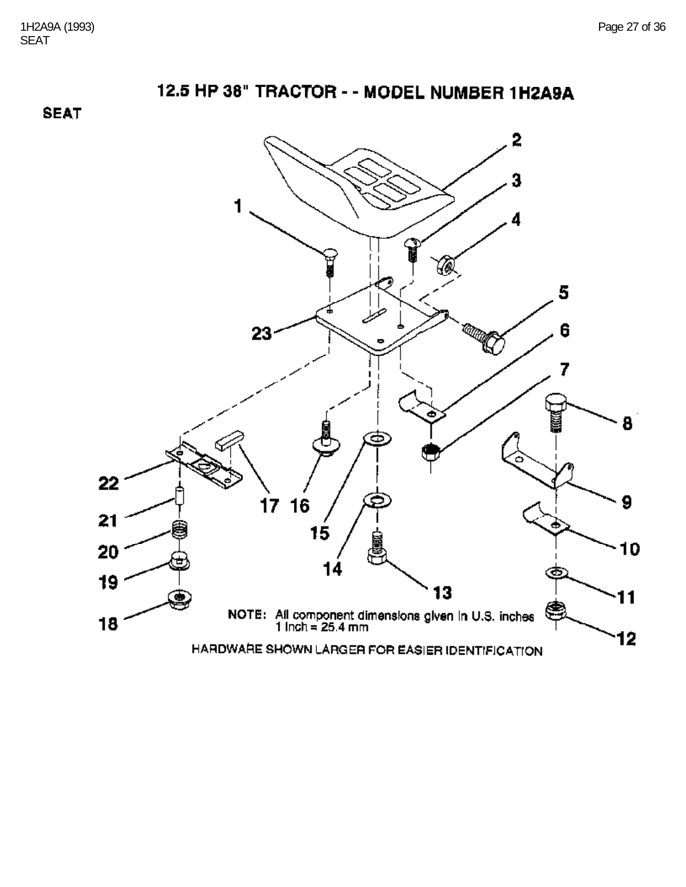**SEAT** 

![](_page_26_Figure_4.jpeg)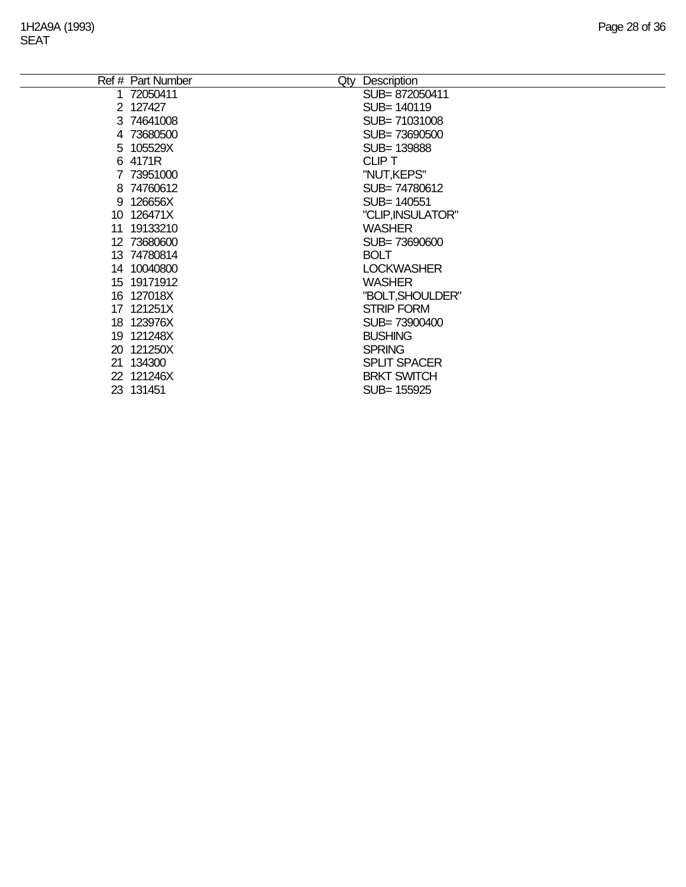L.

| Ref # Part Number | Qty Description     |
|-------------------|---------------------|
| 1 72050411        | SUB=872050411       |
| 2 127427          | SUB= 140119         |
| 3 74641008        | SUB=71031008        |
| 4 73680500        | SUB= 73690500       |
| 5 105529X         | SUB=139888          |
| 6 4171R           | <b>CLIPT</b>        |
| 7 73951000        | "NUT, KEPS"         |
| 8 74760612        | SUB=74780612        |
| 9 126656X         | SUB= 140551         |
| 10 126471X        | "CLIP, INSULATOR"   |
| 11 19133210       | <b>WASHER</b>       |
| 12 73680600       | SUB=73690600        |
| 13 74780814       | <b>BOLT</b>         |
| 14 10040800       | <b>LOCKWASHER</b>   |
| 15 19171912       | <b>WASHER</b>       |
| 16 127018X        | "BOLT, SHOULDER"    |
| 17 121251X        | <b>STRIP FORM</b>   |
| 18 123976X        | SUB= 73900400       |
| 19 121248X        | <b>BUSHING</b>      |
| 20 121250X        | <b>SPRING</b>       |
| 21 134300         | <b>SPLIT SPACER</b> |
| 22 121246X        | <b>BRKT SWITCH</b>  |
| 23 131451         | SUB= 155925         |
|                   |                     |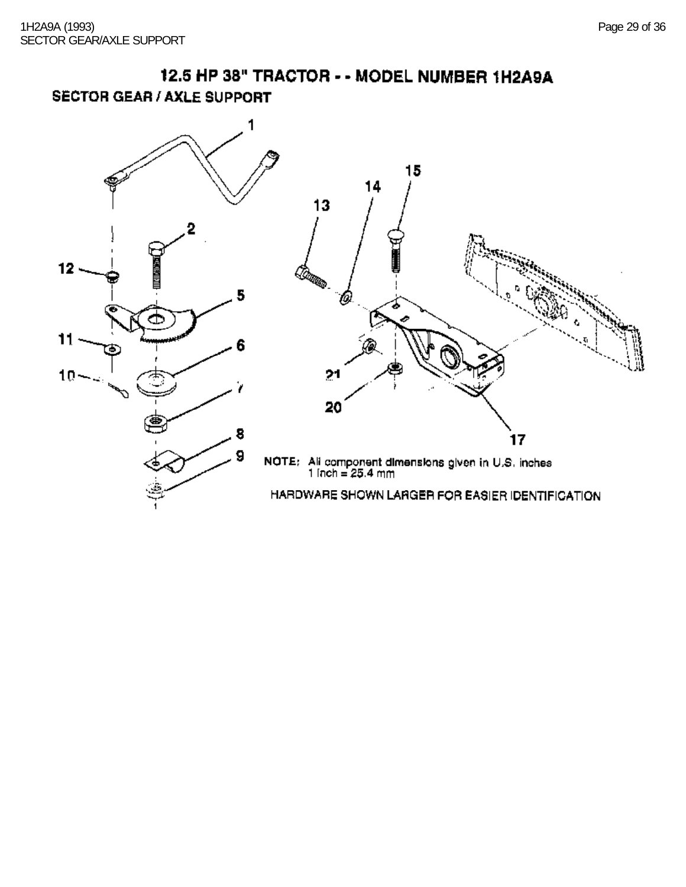![](_page_28_Figure_2.jpeg)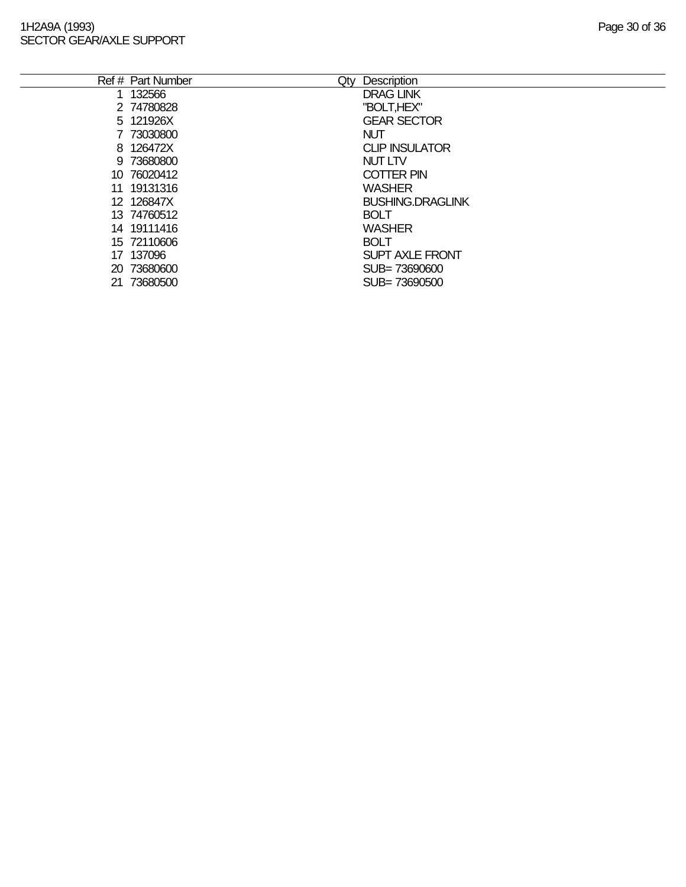#### 1H2A9A (1993) Page 30 of 36 SECTOR GEAR/AXLE SUPPORT

 $\overline{a}$ 

| Page 30 of 36 |  |  |  |
|---------------|--|--|--|
|---------------|--|--|--|

|    | Ref # Part Number | Qty | Description             |
|----|-------------------|-----|-------------------------|
|    | 1 132566          |     | <b>DRAG LINK</b>        |
|    | 2 74780828        |     | "BOLT, HEX"             |
|    | 5 121926X         |     | <b>GEAR SECTOR</b>      |
|    | 7 73030800        |     | <b>NUT</b>              |
|    | 8 126472X         |     | <b>CLIP INSULATOR</b>   |
|    | 9 73680800        |     | <b>NUT LTV</b>          |
|    | 10 76020412       |     | <b>COTTER PIN</b>       |
|    | 11 19131316       |     | <b>WASHER</b>           |
|    | 12 126847X        |     | <b>BUSHING.DRAGLINK</b> |
|    | 13 74760512       |     | <b>BOLT</b>             |
|    | 14 19111416       |     | <b>WASHER</b>           |
|    | 15 72110606       |     | <b>BOLT</b>             |
|    | 17 137096         |     | <b>SUPT AXLE FRONT</b>  |
|    | 20 73680600       |     | SUB=73690600            |
| 21 | 73680500          |     | SUB=73690500            |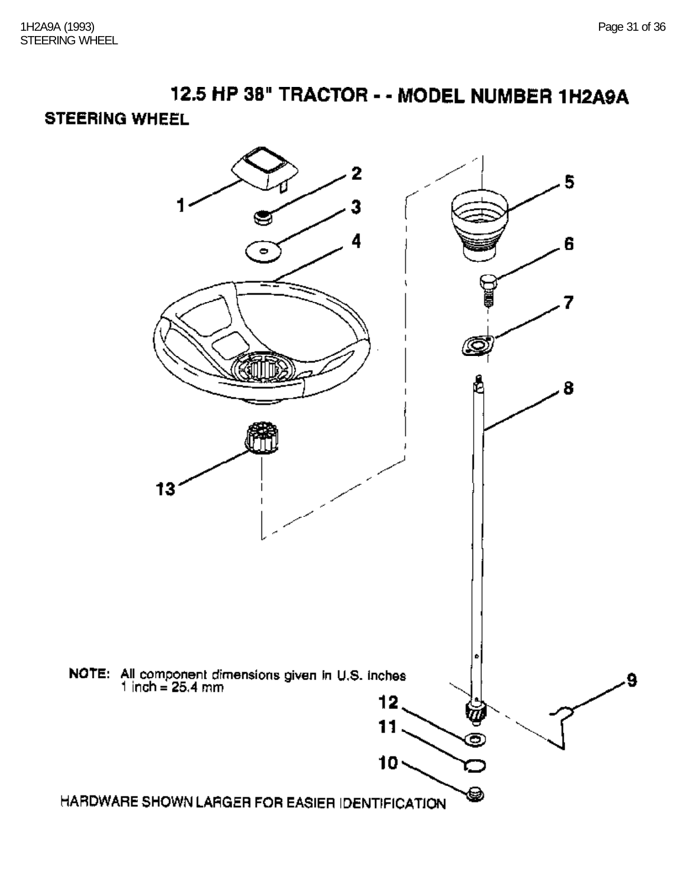## **STEERING WHEEL**

![](_page_30_Figure_4.jpeg)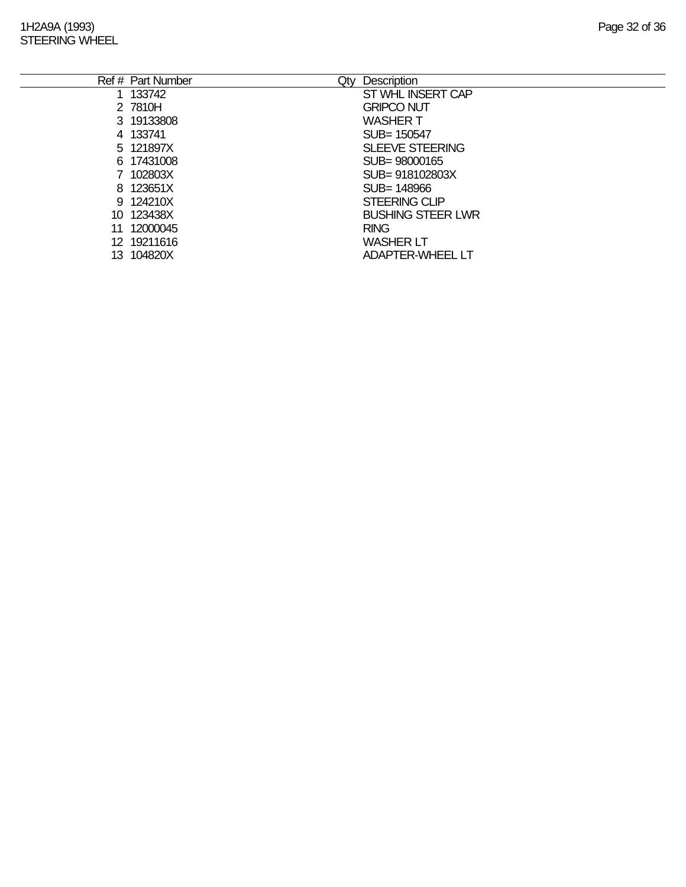### 1H2A9A (1993) Page 32 of 36 STEERING WHEEL

|    | Ref # Part Number<br>Qty | Description              |
|----|--------------------------|--------------------------|
|    | 1 133742                 | ST WHL INSERT CAP        |
|    | 2 7810H                  | <b>GRIPCO NUT</b>        |
|    | 3 19133808               | <b>WASHER T</b>          |
|    | 4 133741                 | SUB= 150547              |
|    | 5 121897X                | <b>SLEEVE STEERING</b>   |
|    | 6 17431008               | SUB=98000165             |
|    | 7 102803X                | SUB= 918102803X          |
|    | 8 123651X                | SUB= 148966              |
|    | 9 124210X                | <b>STEERING CLIP</b>     |
|    | 10 123438X               | <b>BUSHING STEER LWR</b> |
| 11 | 12000045                 | <b>RING</b>              |
|    | 12 19211616              | <b>WASHER LT</b>         |
|    | 13 104820X               | <b>ADAPTER-WHEEL LT</b>  |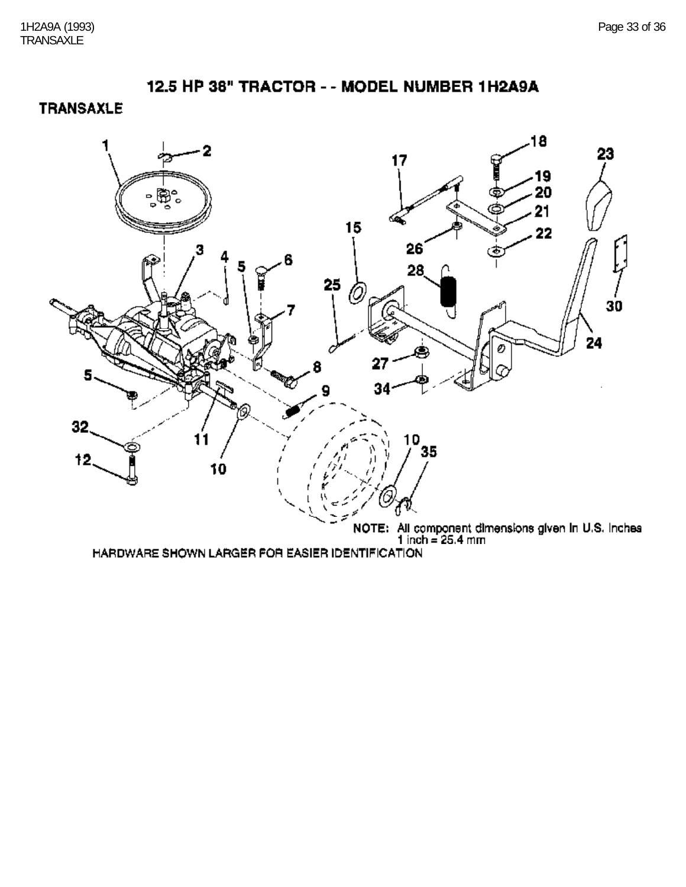**TRANSAXLE** 

![](_page_32_Figure_3.jpeg)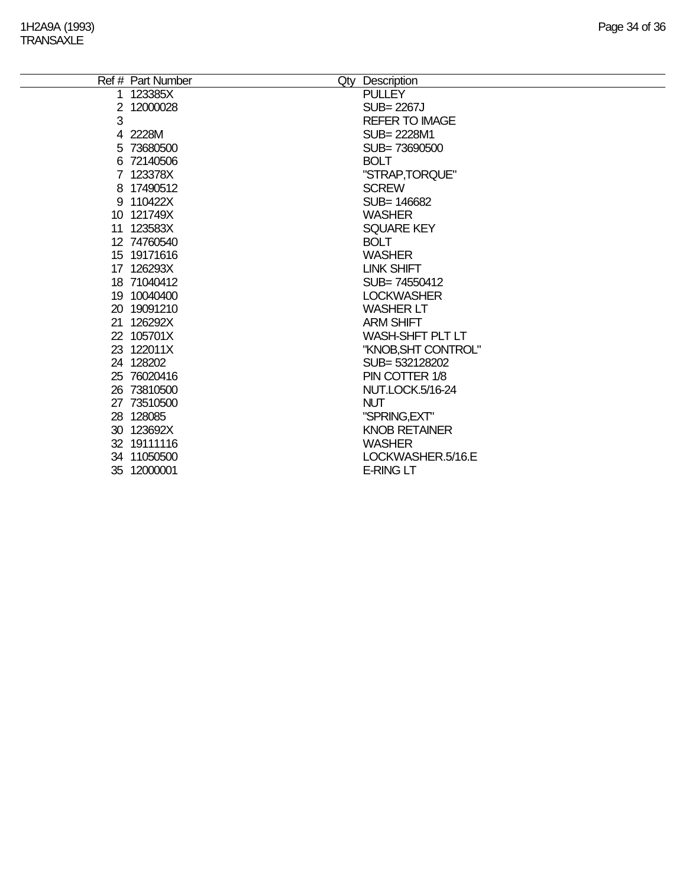|                      | Ref # Part Number | Qty Description         |
|----------------------|-------------------|-------------------------|
|                      | 1 123385X         | <b>PULLEY</b>           |
| $\mathbf{2}^{\circ}$ | 12000028          | SUB= 2267J              |
| 3                    |                   | <b>REFER TO IMAGE</b>   |
|                      | 4 2228M           | SUB= 2228M1             |
|                      | 5 73680500        | SUB=73690500            |
|                      | 6 72140506        | <b>BOLT</b>             |
|                      | 7 123378X         | "STRAP,TORQUE"          |
|                      | 8 17490512        | <b>SCREW</b>            |
|                      | 9 110422X         | SUB= 146682             |
|                      | 10 121749X        | <b>WASHER</b>           |
|                      | 11 123583X        | <b>SQUARE KEY</b>       |
|                      | 12 74760540       | <b>BOLT</b>             |
|                      | 15 19171616       | <b>WASHER</b>           |
|                      | 17 126293X        | <b>LINK SHIFT</b>       |
|                      | 18 71040412       | SUB=74550412            |
|                      | 19 10040400       | <b>LOCKWASHER</b>       |
|                      | 20 19091210       | <b>WASHER LT</b>        |
|                      | 21 126292X        | <b>ARM SHIFT</b>        |
|                      | 22 105701X        | <b>WASH-SHFT PLT LT</b> |
|                      | 23 122011X        | "KNOB, SHT CONTROL"     |
|                      | 24 128202         | SUB= 532128202          |
|                      | 25 76020416       | PIN COTTER 1/8          |
|                      | 26 73810500       | NUT.LOCK.5/16-24        |
|                      | 27 73510500       | <b>NUT</b>              |
|                      | 28 128085         | "SPRING, EXT"           |
|                      | 30 123692X        | <b>KNOB RETAINER</b>    |
|                      | 32 19111116       | <b>WASHER</b>           |
|                      | 34 11050500       | LOCKWASHER.5/16.E       |
|                      | 35 12000001       | <b>E-RING LT</b>        |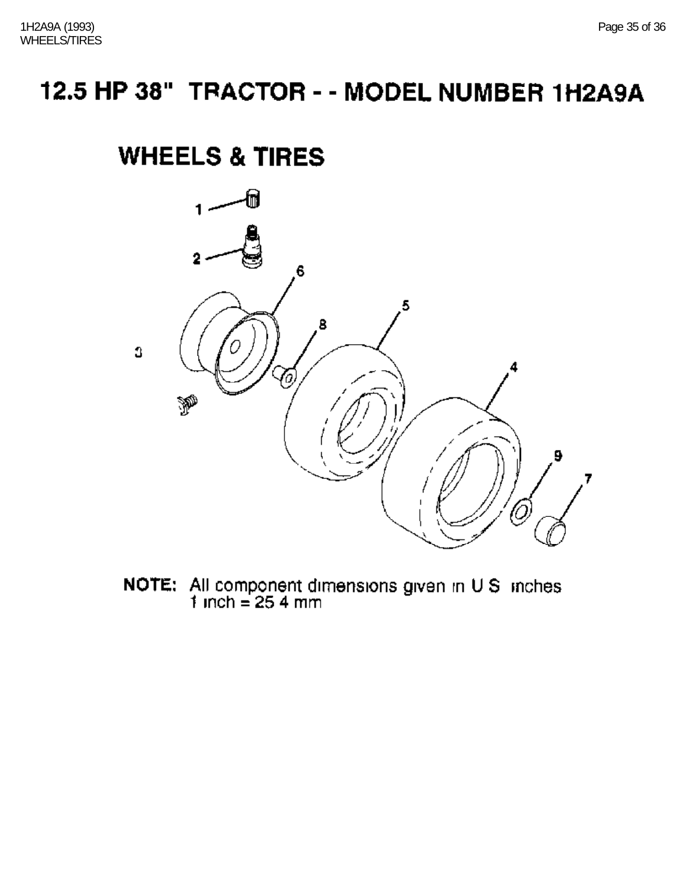# **WHEELS & TIRES**

![](_page_34_Figure_3.jpeg)

**NOTE:** All component dimensions given in  $U S$  inches 1 inch = 25.4 mm